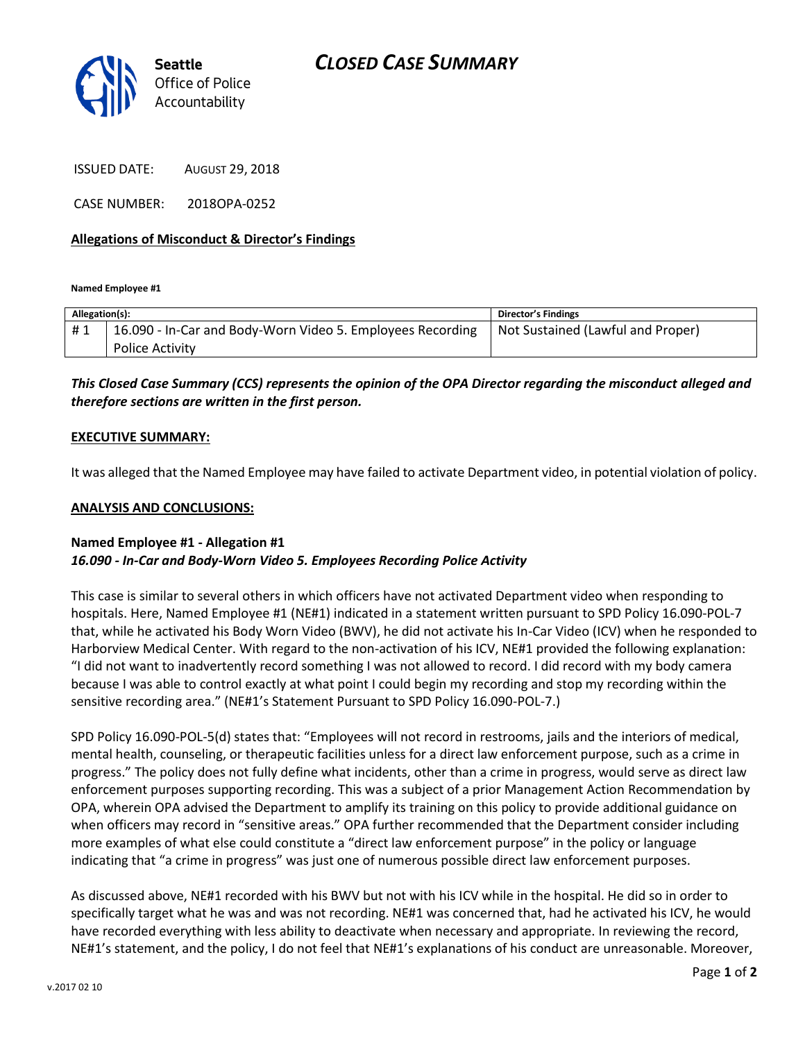# *CLOSED CASE SUMMARY*



ISSUED DATE: AUGUST 29, 2018

CASE NUMBER: 2018OPA-0252

#### **Allegations of Misconduct & Director's Findings**

**Named Employee #1**

| Allegation(s): |                                                            | <b>Director's Findings</b>        |
|----------------|------------------------------------------------------------|-----------------------------------|
| #1             | 16.090 - In-Car and Body-Worn Video 5. Employees Recording | Not Sustained (Lawful and Proper) |
|                | <b>Police Activity</b>                                     |                                   |

### *This Closed Case Summary (CCS) represents the opinion of the OPA Director regarding the misconduct alleged and therefore sections are written in the first person.*

#### **EXECUTIVE SUMMARY:**

It was alleged that the Named Employee may have failed to activate Department video, in potential violation of policy.

#### **ANALYSIS AND CONCLUSIONS:**

#### **Named Employee #1 - Allegation #1** *16.090 - In-Car and Body-Worn Video 5. Employees Recording Police Activity*

This case is similar to several others in which officers have not activated Department video when responding to hospitals. Here, Named Employee #1 (NE#1) indicated in a statement written pursuant to SPD Policy 16.090-POL-7 that, while he activated his Body Worn Video (BWV), he did not activate his In-Car Video (ICV) when he responded to Harborview Medical Center. With regard to the non-activation of his ICV, NE#1 provided the following explanation: "I did not want to inadvertently record something I was not allowed to record. I did record with my body camera because I was able to control exactly at what point I could begin my recording and stop my recording within the sensitive recording area." (NE#1's Statement Pursuant to SPD Policy 16.090-POL-7.)

SPD Policy 16.090-POL-5(d) states that: "Employees will not record in restrooms, jails and the interiors of medical, mental health, counseling, or therapeutic facilities unless for a direct law enforcement purpose, such as a crime in progress." The policy does not fully define what incidents, other than a crime in progress, would serve as direct law enforcement purposes supporting recording. This was a subject of a prior Management Action Recommendation by OPA, wherein OPA advised the Department to amplify its training on this policy to provide additional guidance on when officers may record in "sensitive areas." OPA further recommended that the Department consider including more examples of what else could constitute a "direct law enforcement purpose" in the policy or language indicating that "a crime in progress" was just one of numerous possible direct law enforcement purposes.

As discussed above, NE#1 recorded with his BWV but not with his ICV while in the hospital. He did so in order to specifically target what he was and was not recording. NE#1 was concerned that, had he activated his ICV, he would have recorded everything with less ability to deactivate when necessary and appropriate. In reviewing the record, NE#1's statement, and the policy, I do not feel that NE#1's explanations of his conduct are unreasonable. Moreover,